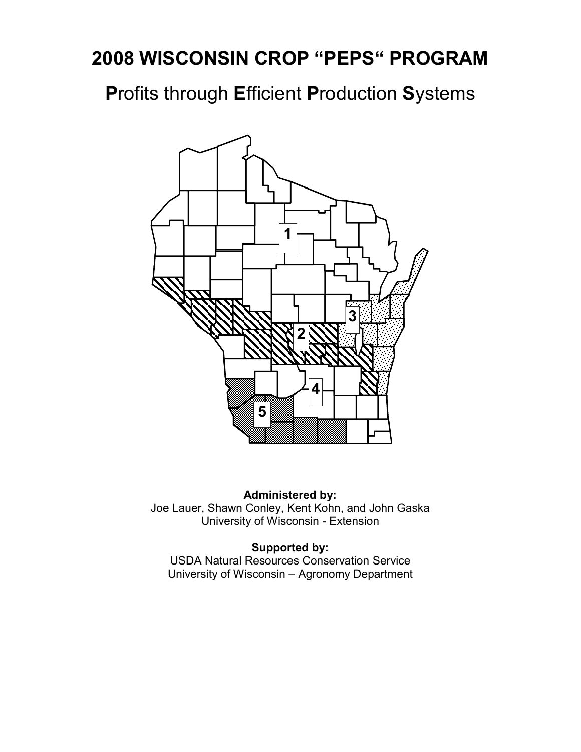# **2008 WISCONSIN CROP "PEPS" PROGRAM**

**P**rofits through **E**fficient **P**roduction **S**ystems



**Administered by:**  Joe Lauer, Shawn Conley, Kent Kohn, and John Gaska University of Wisconsin - Extension

### **Supported by:**

USDA Natural Resources Conservation Service University of Wisconsin – Agronomy Department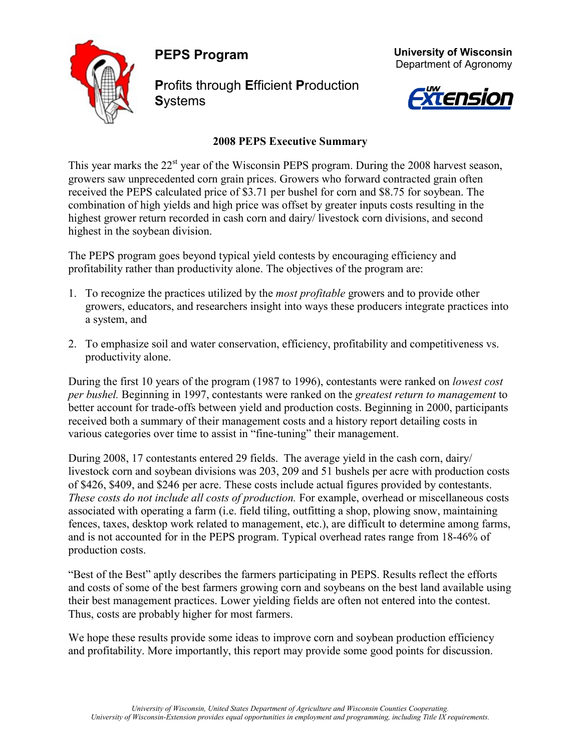**PEPS Program** 



**P**rofits through **E**fficient **P**roduction **S**ystems





### **2008 PEPS Executive Summary**

This year marks the 22<sup>st</sup> year of the Wisconsin PEPS program. During the 2008 harvest season, growers saw unprecedented corn grain prices. Growers who forward contracted grain often received the PEPS calculated price of \$3.71 per bushel for corn and \$8.75 for soybean. The combination of high yields and high price was offset by greater inputs costs resulting in the highest grower return recorded in cash corn and dairy/ livestock corn divisions, and second highest in the soybean division.

The PEPS program goes beyond typical yield contests by encouraging efficiency and profitability rather than productivity alone. The objectives of the program are:

- 1. To recognize the practices utilized by the *most profitable* growers and to provide other growers, educators, and researchers insight into ways these producers integrate practices into a system, and
- 2. To emphasize soil and water conservation, efficiency, profitability and competitiveness vs. productivity alone.

During the first 10 years of the program (1987 to 1996), contestants were ranked on *lowest cost per bushel.* Beginning in 1997, contestants were ranked on the *greatest return to management* to better account for trade-offs between yield and production costs. Beginning in 2000, participants received both a summary of their management costs and a history report detailing costs in various categories over time to assist in "fine-tuning" their management.

During 2008, 17 contestants entered 29 fields. The average yield in the cash corn, dairy/ livestock corn and soybean divisions was 203, 209 and 51 bushels per acre with production costs of \$426, \$409, and \$246 per acre. These costs include actual figures provided by contestants. *These costs do not include all costs of production.* For example, overhead or miscellaneous costs associated with operating a farm (i.e. field tiling, outfitting a shop, plowing snow, maintaining fences, taxes, desktop work related to management, etc.), are difficult to determine among farms, and is not accounted for in the PEPS program. Typical overhead rates range from 18-46% of production costs.

"Best of the Best" aptly describes the farmers participating in PEPS. Results reflect the efforts and costs of some of the best farmers growing corn and soybeans on the best land available using their best management practices. Lower yielding fields are often not entered into the contest. Thus, costs are probably higher for most farmers.

We hope these results provide some ideas to improve corn and soybean production efficiency and profitability. More importantly, this report may provide some good points for discussion.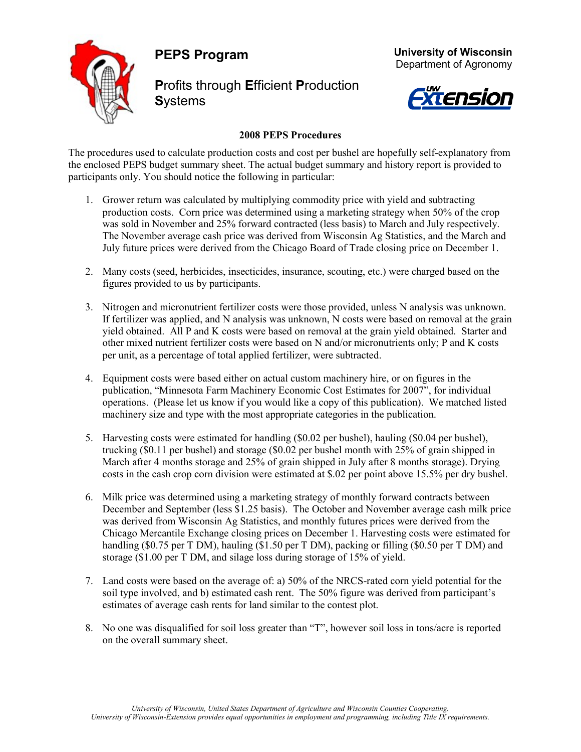**PEPS Program** 



**P**rofits through **E**fficient **P**roduction **S**ystems





#### **2008 PEPS Procedures**

The procedures used to calculate production costs and cost per bushel are hopefully self-explanatory from the enclosed PEPS budget summary sheet. The actual budget summary and history report is provided to participants only. You should notice the following in particular:

- 1. Grower return was calculated by multiplying commodity price with yield and subtracting production costs. Corn price was determined using a marketing strategy when 50% of the crop was sold in November and 25% forward contracted (less basis) to March and July respectively. The November average cash price was derived from Wisconsin Ag Statistics, and the March and July future prices were derived from the Chicago Board of Trade closing price on December 1.
- 2. Many costs (seed, herbicides, insecticides, insurance, scouting, etc.) were charged based on the figures provided to us by participants.
- 3. Nitrogen and micronutrient fertilizer costs were those provided, unless N analysis was unknown. If fertilizer was applied, and N analysis was unknown, N costs were based on removal at the grain yield obtained. All P and K costs were based on removal at the grain yield obtained. Starter and other mixed nutrient fertilizer costs were based on N and/or micronutrients only; P and K costs per unit, as a percentage of total applied fertilizer, were subtracted.
- 4. Equipment costs were based either on actual custom machinery hire, or on figures in the publication, "Minnesota Farm Machinery Economic Cost Estimates for 2007", for individual operations. (Please let us know if you would like a copy of this publication). We matched listed machinery size and type with the most appropriate categories in the publication.
- 5. Harvesting costs were estimated for handling (\$0.02 per bushel), hauling (\$0.04 per bushel), trucking (\$0.11 per bushel) and storage (\$0.02 per bushel month with 25% of grain shipped in March after 4 months storage and 25% of grain shipped in July after 8 months storage). Drying costs in the cash crop corn division were estimated at \$.02 per point above 15.5% per dry bushel.
- 6. Milk price was determined using a marketing strategy of monthly forward contracts between December and September (less \$1.25 basis). The October and November average cash milk price was derived from Wisconsin Ag Statistics, and monthly futures prices were derived from the Chicago Mercantile Exchange closing prices on December 1. Harvesting costs were estimated for handling (\$0.75 per T DM), hauling (\$1.50 per T DM), packing or filling (\$0.50 per T DM) and storage (\$1.00 per T DM, and silage loss during storage of 15% of yield.
- 7. Land costs were based on the average of: a) 50% of the NRCS-rated corn yield potential for the soil type involved, and b) estimated cash rent. The 50% figure was derived from participant's estimates of average cash rents for land similar to the contest plot.
- 8. No one was disqualified for soil loss greater than "T", however soil loss in tons/acre is reported on the overall summary sheet.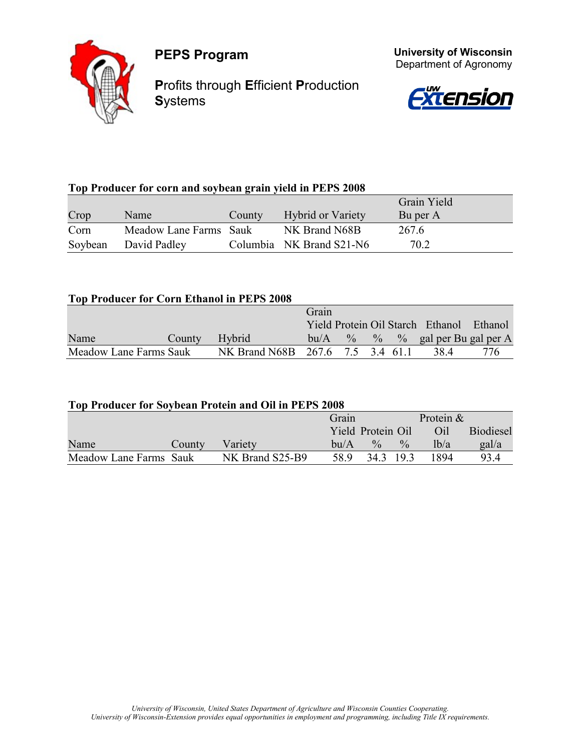

**P**rofits through **E**fficient **P**roduction **S**ystems



 **University of Wisconsin** Department of Agronomy

### **Top Producer for corn and soybean grain yield in PEPS 2008**

|         |                        |        |                          | Grain Yield |  |
|---------|------------------------|--------|--------------------------|-------------|--|
| Crop    | Name                   | County | <b>Hybrid or Variety</b> | Bu per A    |  |
| Corn    | Meadow Lane Farms Sauk |        | NK Brand N68B            | 267.6       |  |
| Soybean | David Padley           |        | Columbia NK Brand S21-N6 | 70.2        |  |

#### **Top Producer for Corn Ethanol in PEPS 2008**

|                        |        |                                  | Grain |  |                                          |     |
|------------------------|--------|----------------------------------|-------|--|------------------------------------------|-----|
|                        |        |                                  |       |  | Yield Protein Oil Starch Ethanol Ethanol |     |
| Name                   | County | Hybrid                           | bu/A  |  | $\%$ % % gal per Bu gal per A            |     |
| Meadow Lane Farms Sauk |        | NK Brand N68B 267.6 7.5 3.4 61.1 |       |  | 38.4                                     | 776 |

#### **Top Producer for Soybean Protein and Oil in PEPS 2008**

|                        |        |                 | Grain |                   |               | Protein & |                  |
|------------------------|--------|-----------------|-------|-------------------|---------------|-----------|------------------|
|                        |        |                 |       | Yield Protein Oil |               | Oil       | <b>Biodiesel</b> |
| Name                   | County | Variety         | bu/A  | $\frac{0}{0}$     | $\frac{0}{0}$ | lh/a      | gal/a            |
| Meadow Lane Farms Sauk |        | NK Brand S25-B9 | 58.9  | 34.3 19.3         |               | 1894      | 93.4             |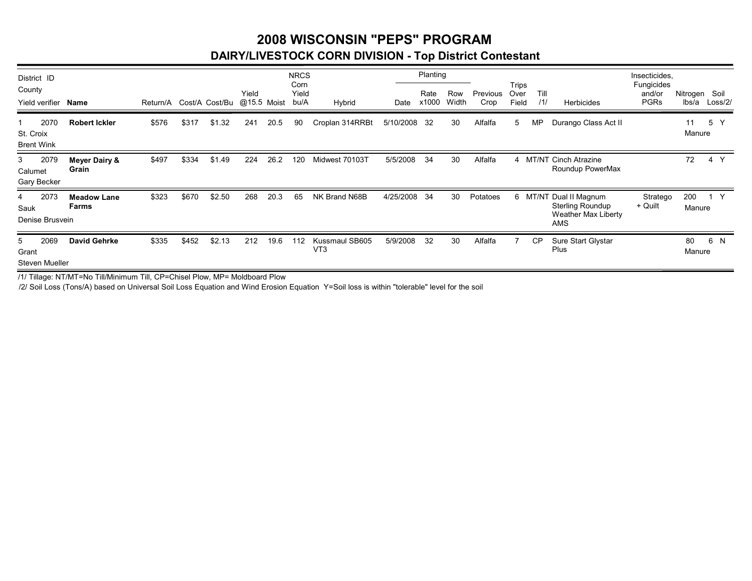### **2008 WISCONSIN "PEPS" PROGRAMDAIRY/LIVESTOCK CORN DIVISION - Top District Contestant**

| District ID                            |                             |          |       |                            |       |      | <b>NRCS</b>           |                                   |           | Planting      |              |                  |                        |             |                                                                                               | Insecticides,                       |                        |         |
|----------------------------------------|-----------------------------|----------|-------|----------------------------|-------|------|-----------------------|-----------------------------------|-----------|---------------|--------------|------------------|------------------------|-------------|-----------------------------------------------------------------------------------------------|-------------------------------------|------------------------|---------|
| County<br>Yield verifier               | <b>Name</b>                 | Return/A |       | Cost/A Cost/Bu @15.5 Moist | Yield |      | Corn<br>Yield<br>bu/A | Hybrid                            | Date      | Rate<br>x1000 | Row<br>Width | Previous<br>Crop | Trips<br>Over<br>Field | Till<br>11/ | <b>Herbicides</b>                                                                             | Fungicides<br>and/or<br><b>PGRs</b> | Nitrogen Soil<br>lbs/a | Loss/2/ |
| 2070<br>St. Croix<br><b>Brent Wink</b> | <b>Robert Ickler</b>        | \$576    | \$317 | \$1.32                     | 241   | 20.5 | 90                    | Croplan 314RRBt                   | 5/10/2008 | -32           | 30           | Alfalfa          | 5                      | <b>MP</b>   | Durango Class Act II                                                                          |                                     | 11<br>Manure           | 5<br>Y  |
| 2079<br>3<br>Calumet<br>Gary Becker    | Meyer Dairy &<br>Grain      | \$497    | \$334 | \$1.49                     | 224   | 26.2 | 120                   | Midwest 70103T                    | 5/5/2008  | 34            | 30           | Alfalfa          |                        |             | 4 MT/NT Cinch Atrazine<br>Roundup PowerMax                                                    |                                     | 72                     | 4 Y     |
| 2073<br>4<br>Sauk<br>Denise Brusvein   | <b>Meadow Lane</b><br>Farms | \$323    | \$670 | \$2.50                     | 268   | 20.3 | 65                    | NK Brand N68B                     | 4/25/2008 | -34           | 30           | Potatoes         |                        |             | 6 MT/NT Dual II Magnum<br><b>Sterling Roundup</b><br><b>Weather Max Liberty</b><br><b>AMS</b> | Stratego<br>+ Quilt                 | 200<br>Manure          | 1 Y     |
| 2069<br>5.<br>Grant<br>Steven Mueller  | <b>David Gehrke</b>         | \$335    | \$452 | \$2.13                     | 212   | 19.6 | 112                   | Kussmaul SB605<br>VT <sub>3</sub> | 5/9/2008  | 32            | 30           | Alfalfa          |                        | <b>CP</b>   | Sure Start Glystar<br>Plus                                                                    |                                     | 80<br>Manure           | 6 N     |

/1/ Tillage: NT/MT=No Till/Minimum Till, CP=Chisel Plow, MP= Moldboard Plow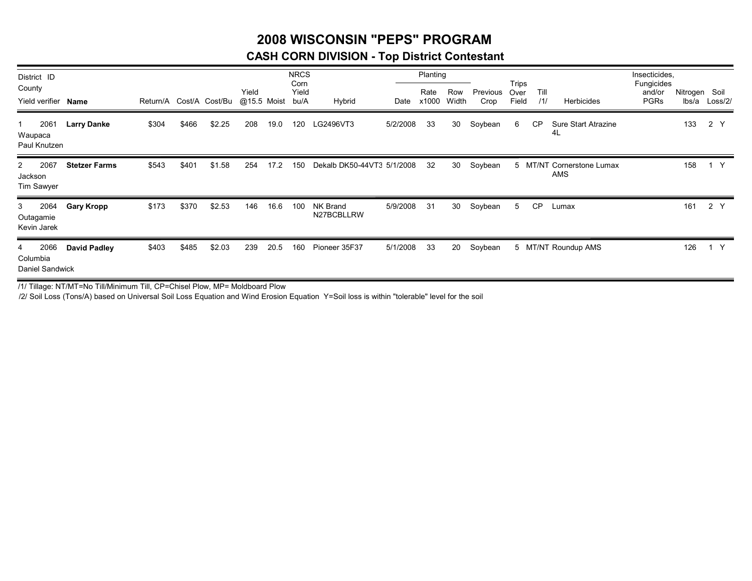### **2008 WISCONSIN "PEPS" PROGRAM**

### **CASH CORN DIVISION - Top District Contestant**

| District ID<br>County<br>Yield verifier              | Name                 | Return/A Cost/A Cost/Bu |       |        | Yield<br>@15.5 Moist |      | <b>NRCS</b><br>Corn<br>Yield<br>bu/A | Hybrid                     | Date     | Planting<br>Rate<br>x1000 | Row<br>Width | Previous<br>Crop | Trips<br>Over<br>Field | Till<br>/1/ | Herbicides                              | Insecticides,<br>Fungicides<br>and/or<br><b>PGRs</b> | Nitrogen Soil<br>lbs/a | Loss/2/ |
|------------------------------------------------------|----------------------|-------------------------|-------|--------|----------------------|------|--------------------------------------|----------------------------|----------|---------------------------|--------------|------------------|------------------------|-------------|-----------------------------------------|------------------------------------------------------|------------------------|---------|
| 2061<br>Waupaca<br>Paul Knutzen                      | <b>Larry Danke</b>   | \$304                   | \$466 | \$2.25 | 208                  | 19.0 | 120                                  | LG2496VT3                  | 5/2/2008 | 33                        | 30           | Soybean          | 6                      | <b>CP</b>   | Sure Start Atrazine<br>4L               |                                                      | 133                    | 2 Y     |
| 2067<br>$\mathbf{2}$<br>Jackson<br><b>Tim Sawyer</b> | <b>Stetzer Farms</b> | \$543                   | \$401 | \$1.58 | 254                  | 17.2 | 150                                  | Dekalb DK50-44VT3 5/1/2008 |          | 32                        | 30           | Soybean          |                        |             | 5 MT/NT Cornerstone Lumax<br><b>AMS</b> |                                                      | 158                    | 1 Y     |
| 2064<br>3<br>Outagamie<br>Kevin Jarek                | <b>Gary Kropp</b>    | \$173                   | \$370 | \$2.53 | 146                  | 16.6 | 100                                  | NK Brand<br>N27BCBLLRW     | 5/9/2008 | 31                        | 30           | Soybean          | 5                      | <b>CP</b>   | Lumax                                   |                                                      | 161                    | 2 Y     |
| 2066<br>4<br>Columbia<br>Daniel Sandwick             | David Padley         | \$403                   | \$485 | \$2.03 | 239                  | 20.5 | 160                                  | Pioneer 35F37              | 5/1/2008 | 33                        | 20           | Soybean          |                        |             | 5 MT/NT Roundup AMS                     |                                                      | 126                    | 1 Y     |

/1/ Tillage: NT/MT=No Till/Minimum Till, CP=Chisel Plow, MP= Moldboard Plow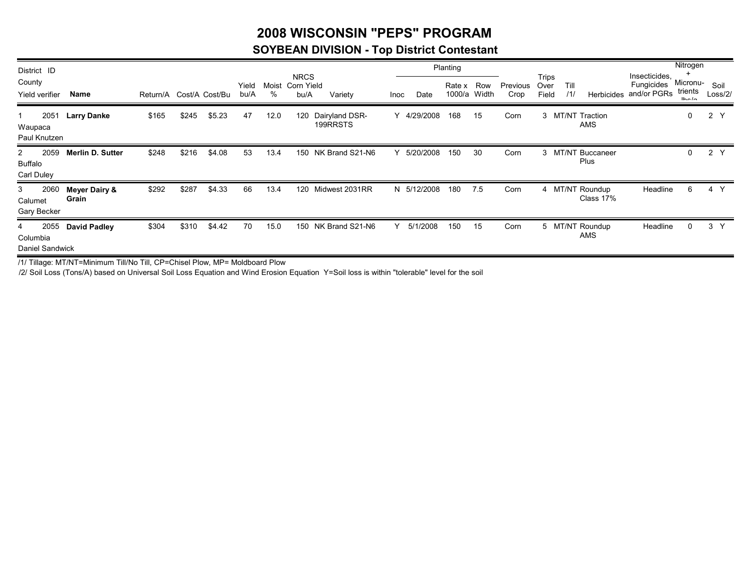### **2008 WISCONSIN "PEPS" PROGRAM**

### **SOYBEAN DIVISION - Top District Contestant**

| District ID                              |                                   |                         |       |        |               |      |                                         |                            |             |           | Planting         |              |                  |                        |             |                              |                                            | Nitrogen                     |                 |
|------------------------------------------|-----------------------------------|-------------------------|-------|--------|---------------|------|-----------------------------------------|----------------------------|-------------|-----------|------------------|--------------|------------------|------------------------|-------------|------------------------------|--------------------------------------------|------------------------------|-----------------|
| County<br>Yield verifier                 | Name                              | Return/A Cost/A Cost/Bu |       |        | Yield<br>bu/A | %    | <b>NRCS</b><br>Moist Corn Yield<br>bu/A | Variety                    | <b>Inoc</b> | Date      | Rate x<br>1000/a | Row<br>Width | Previous<br>Crop | Trips<br>Over<br>Field | Till<br>11/ | <b>Herbicides</b>            | Insecticides,<br>Fungicides<br>and/or PGRs | Micronu-<br>trients<br>lhn/n | Soil<br>Loss/2/ |
| 2051<br>Waupaca<br>Paul Knutzen          | <b>Larry Danke</b>                | \$165                   | \$245 | \$5.23 | 47            | 12.0 | 120                                     | Dairyland DSR-<br>199RRSTS | Y           | 4/29/2008 | 168              | 15           | Corn             |                        |             | 3 MT/NT Traction<br>AMS      |                                            | 0                            | 2 Y             |
| 2059<br>2<br>Buffalo<br>Carl Duley       | <b>Merlin D. Sutter</b>           | \$248                   | \$216 | \$4.08 | 53            | 13.4 |                                         | 150 NK Brand S21-N6        | Υ           | 5/20/2008 | 150              | -30          | Corn             |                        |             | 3 MT/NT Buccaneer<br>Plus    |                                            | 0                            | 2 Y             |
| 2060<br>3<br>Calumet<br>Gary Becker      | <b>Meyer Dairy &amp;</b><br>Grain | \$292                   | \$287 | \$4.33 | 66            | 13.4 |                                         | 120 Midwest 2031RR         | N           | 5/12/2008 | 180              | 7.5          | Corn             |                        |             | 4 MT/NT Roundup<br>Class 17% | Headline                                   | 6                            | 4 Y             |
| 2055<br>4<br>Columbia<br>Daniel Sandwick | David Padley                      | \$304                   | \$310 | \$4.42 | 70            | 15.0 |                                         | 150 NK Brand S21-N6        | Y           | 5/1/2008  | 150              | 15           | Corn             |                        |             | 5 MT/NT Roundup<br>AMS       | Headline                                   | 0                            | 3 <sup>Y</sup>  |

/1/ Tillage: MT/NT=Minimum Till/No Till, CP=Chisel Plow, MP= Moldboard Plow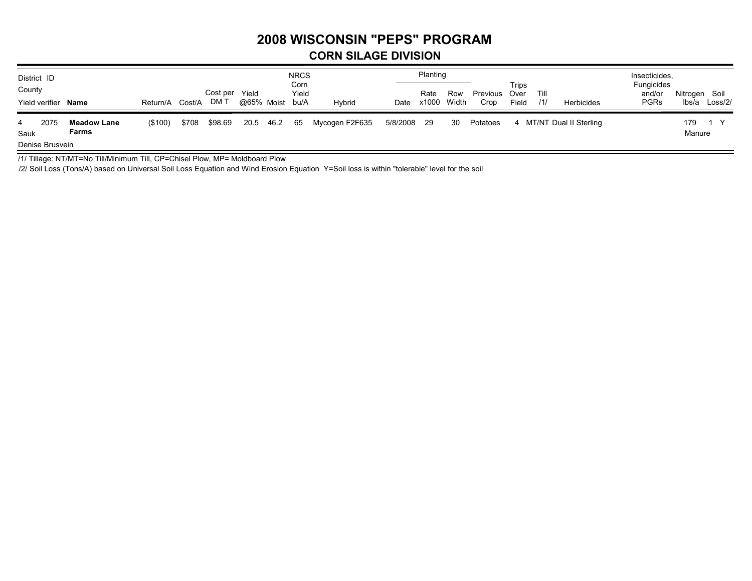## **2008 WISCONSIN "PEPS" PROGRAM**

#### **CORN SILAGE DIVISION**

| District ID<br>County<br>Yield verifier | Name                        | Return/A Cost/A |       | Cost per Yield<br>DM T | @65% Moist |           | <b>NRCS</b><br>Corn<br>Yield<br>bu/A | Hybrid         | Date        | Planting<br>Rate<br>x1000 Width | Row | Previous Over<br>Crop | Trips<br>Field | Till<br>/1/ | Herbicides               | Insecticides,<br><b>Fungicides</b><br>and/or<br><b>PGRs</b> | Nitrogen Soil<br>lbs/a Loss/2/ |
|-----------------------------------------|-----------------------------|-----------------|-------|------------------------|------------|-----------|--------------------------------------|----------------|-------------|---------------------------------|-----|-----------------------|----------------|-------------|--------------------------|-------------------------------------------------------------|--------------------------------|
| 2075<br>4<br>Sauk<br>Denise Brusvein    | <b>Meadow Lane</b><br>Farms | (\$100)         | \$708 | \$98.69                |            | 20.5 46.2 | 65                                   | Mycogen F2F635 | 5/8/2008 29 |                                 | 30  | Potatoes              |                |             | 4 MT/NT Dual II Sterling |                                                             | 179<br>Manure                  |

/1/ Tillage: NT/MT=No Till/Minimum Till, CP=Chisel Plow, MP= Moldboard Plow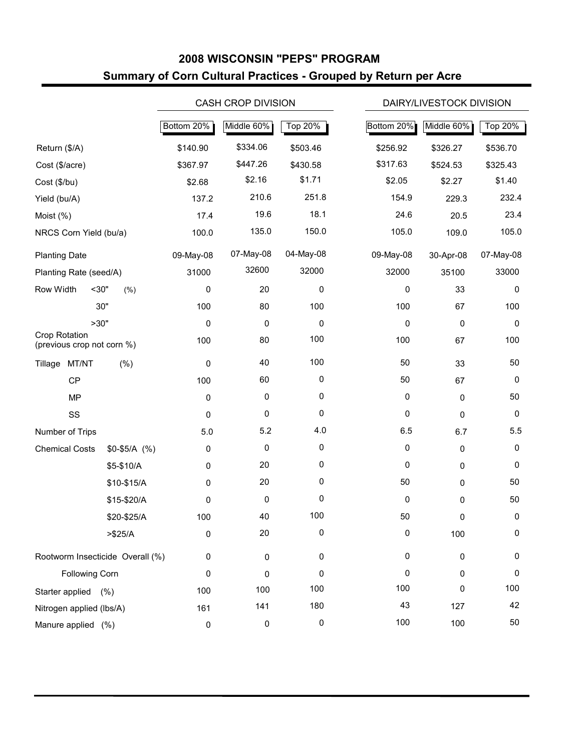### **2008 WISCONSIN "PEPS" PROGRAM Summary of Corn Cultural Practices - Grouped by Return per Acre**

|                                             |               |            | <b>CASH CROP DIVISION</b> |             | DAIRY/LIVESTOCK DIVISION            |
|---------------------------------------------|---------------|------------|---------------------------|-------------|-------------------------------------|
|                                             |               | Bottom 20% | Middle 60%                | Top 20%     | Bottom 20%<br>Middle 60%<br>Top 20% |
| Return (\$/A)                               |               | \$140.90   | \$334.06                  | \$503.46    | \$256.92<br>\$326.27<br>\$536.70    |
| Cost (\$/acre)                              |               | \$367.97   | \$447.26                  | \$430.58    | \$317.63<br>\$325.43<br>\$524.53    |
| Cost (\$/bu)                                |               | \$2.68     | \$2.16                    | \$1.71      | \$2.05<br>\$1.40<br>\$2.27          |
| Yield (bu/A)                                |               | 137.2      | 210.6                     | 251.8       | 154.9<br>232.4<br>229.3             |
| Moist (%)                                   |               | 17.4       | 19.6                      | 18.1        | 24.6<br>23.4<br>20.5                |
| NRCS Corn Yield (bu/a)                      |               | 100.0      | 135.0                     | 150.0       | 105.0<br>105.0<br>109.0             |
| <b>Planting Date</b>                        |               | 09-May-08  | 07-May-08                 | 04-May-08   | 09-May-08<br>07-May-08<br>30-Apr-08 |
| Planting Rate (seed/A)                      |               | 31000      | 32600                     | 32000       | 32000<br>33000<br>35100             |
| Row Width<br>$30$ "                         | (% )          | 0          | 20                        | 0           | 0<br>33<br>0                        |
|                                             | 30"           | 100        | 80                        | 100         | 100<br>100<br>67                    |
| >30"                                        |               | 0          | 0                         | 0           | 0<br>0<br>0                         |
| Crop Rotation<br>(previous crop not corn %) |               | 100        | 80                        | 100         | 100<br>100<br>67                    |
| MT/NT<br>Tillage                            | $(\% )$       | 0          | 40                        | 100         | 50<br>50<br>33                      |
| <b>CP</b>                                   |               | 100        | 60                        | $\mathbf 0$ | 50<br>0<br>67                       |
| <b>MP</b>                                   |               | 0          | $\pmb{0}$                 | 0           | 0<br>50<br>0                        |
| SS                                          |               | 0          | $\pmb{0}$                 | 0           | 0<br>0<br>0                         |
| Number of Trips                             |               | 5.0        | 5.2                       | 4.0         | 6.5<br>5.5<br>6.7                   |
| <b>Chemical Costs</b>                       | $$0-$5/A$ (%) | 0          | 0                         | $\mathbf 0$ | 0<br>0<br>0                         |
|                                             | \$5-\$10/A    | 0          | 20                        | 0           | 0<br>0<br>0                         |
|                                             | \$10-\$15/A   | 0          | 20                        | 0           | 50<br>50<br>0                       |
|                                             | \$15-\$20/A   | 0          | 0                         | 0           | 0<br>50<br>0                        |
|                                             | \$20-\$25/A   | 100        | 40                        | 100         | 50<br>0<br>0                        |
|                                             | > \$25/A      | 0          | 20                        | 0           | 0<br>100<br>0                       |
| Rootworm Insecticide Overall (%)            |               | 0          | $\pmb{0}$                 | 0           | 0<br>$\pmb{0}$<br>0                 |
| Following Corn                              |               | 0          | 0                         | 0           | 0<br>0<br>0                         |
| Starter applied (%)                         |               | 100        | 100                       | 100         | 100<br>100<br>0                     |
| Nitrogen applied (lbs/A)                    |               | 161        | 141                       | 180         | 43<br>42<br>127                     |
| Manure applied (%)                          |               | $\pmb{0}$  | 0                         | 0           | 100<br>100<br>50                    |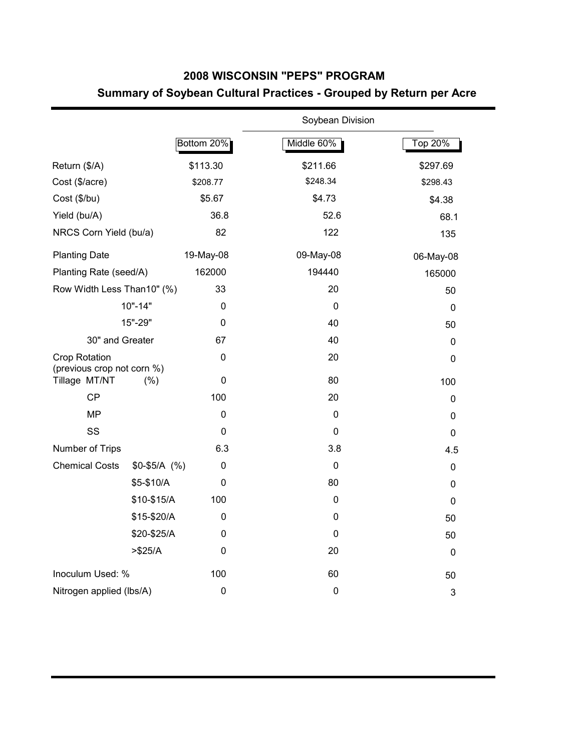### **2008 WISCONSIN "PEPS" PROGRAM Summary of Soybean Cultural Practices - Grouped by Return per Acre**

|                                                    |               |             | Soybean Division |             |
|----------------------------------------------------|---------------|-------------|------------------|-------------|
|                                                    |               | Bottom 20%  | Middle 60%       | Top 20%     |
| Return (\$/A)                                      |               | \$113.30    | \$211.66         | \$297.69    |
| Cost (\$/acre)                                     |               | \$208.77    | \$248.34         | \$298.43    |
| Cost (\$/bu)                                       |               | \$5.67      | \$4.73           | \$4.38      |
| Yield (bu/A)                                       |               | 36.8        | 52.6             | 68.1        |
| NRCS Corn Yield (bu/a)                             |               | 82          | 122              | 135         |
| <b>Planting Date</b>                               |               | 19-May-08   | 09-May-08        | 06-May-08   |
| Planting Rate (seed/A)                             |               | 162000      | 194440           | 165000      |
| Row Width Less Than10" (%)                         |               | 33          | 20               | 50          |
|                                                    | $10" - 14"$   | 0           | 0                | $\mathbf 0$ |
|                                                    | 15"-29"       | 0           | 40               | 50          |
| 30" and Greater                                    |               | 67          | 40               | 0           |
| <b>Crop Rotation</b><br>(previous crop not corn %) |               | $\mathbf 0$ | 20               | 0           |
| Tillage MT/NT                                      | (% )          | $\pmb{0}$   | 80               | 100         |
| CP                                                 |               | 100         | 20               | 0           |
| <b>MP</b>                                          |               | 0           | 0                | 0           |
| SS                                                 |               | 0           | 0                | $\mathbf 0$ |
| Number of Trips                                    |               | 6.3         | 3.8              | 4.5         |
| <b>Chemical Costs</b>                              | $$0-$5/A$ (%) | 0           | $\mathbf 0$      | 0           |
|                                                    | \$5-\$10/A    | 0           | 80               | 0           |
|                                                    | \$10-\$15/A   | 100         | $\mathbf 0$      | 0           |
|                                                    | \$15-\$20/A   | 0           | $\pmb{0}$        | 50          |
|                                                    | \$20-\$25/A   | 0           | $\mathbf 0$      | 50          |
|                                                    | > \$25/A      | 0           | 20               | $\mathbf 0$ |
| Inoculum Used: %                                   |               | 100         | 60               | 50          |
| Nitrogen applied (lbs/A)                           |               | $\pmb{0}$   | $\pmb{0}$        | 3           |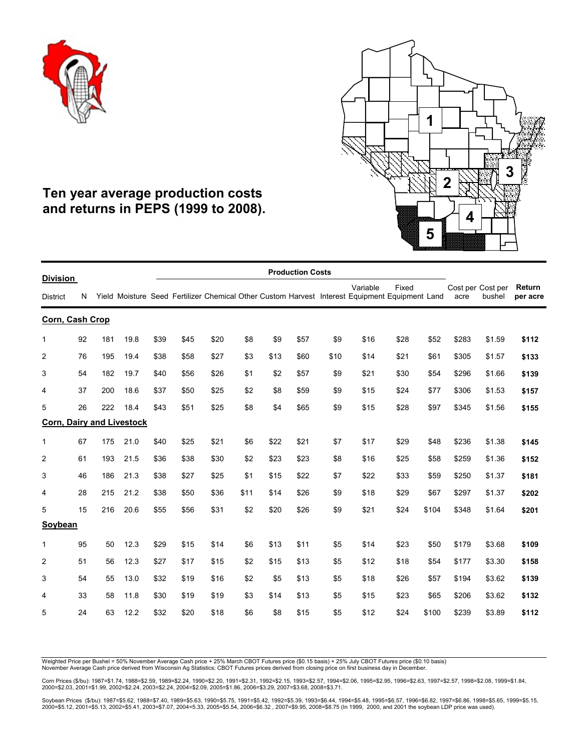



### **Ten year average production costs and returns in PEPS (1999 to 2008).**

|                                    |    |     |      |      |      |      |      |      | <b>Production Costs</b> |      |                                                                                                            |       |       |                           |        |                    |
|------------------------------------|----|-----|------|------|------|------|------|------|-------------------------|------|------------------------------------------------------------------------------------------------------------|-------|-------|---------------------------|--------|--------------------|
| <b>Division</b><br><b>District</b> | N  |     |      |      |      |      |      |      |                         |      | Variable<br>Yield Moisture Seed Fertilizer Chemical Other Custom Harvest Interest Equipment Equipment Land | Fixed |       | Cost per Cost per<br>acre | bushel | Return<br>per acre |
| Corn, Cash Crop                    |    |     |      |      |      |      |      |      |                         |      |                                                                                                            |       |       |                           |        |                    |
| $\mathbf 1$                        | 92 | 181 | 19.8 | \$39 | \$45 | \$20 | \$8  | \$9  | \$57                    | \$9  | \$16                                                                                                       | \$28  | \$52  | \$283                     | \$1.59 | \$112              |
| $\overline{2}$                     | 76 | 195 | 19.4 | \$38 | \$58 | \$27 | \$3  | \$13 | \$60                    | \$10 | \$14                                                                                                       | \$21  | \$61  | \$305                     | \$1.57 | \$133              |
| 3                                  | 54 | 182 | 19.7 | \$40 | \$56 | \$26 | \$1  | \$2  | \$57                    | \$9  | \$21                                                                                                       | \$30  | \$54  | \$296                     | \$1.66 | \$139              |
| 4                                  | 37 | 200 | 18.6 | \$37 | \$50 | \$25 | \$2  | \$8  | \$59                    | \$9  | \$15                                                                                                       | \$24  | \$77  | \$306                     | \$1.53 | \$157              |
| 5                                  | 26 | 222 | 18.4 | \$43 | \$51 | \$25 | \$8  | \$4  | \$65                    | \$9  | \$15                                                                                                       | \$28  | \$97  | \$345                     | \$1.56 | \$155              |
| <b>Corn, Dairy and Livestock</b>   |    |     |      |      |      |      |      |      |                         |      |                                                                                                            |       |       |                           |        |                    |
| 1                                  | 67 | 175 | 21.0 | \$40 | \$25 | \$21 | \$6  | \$22 | \$21                    | \$7  | \$17                                                                                                       | \$29  | \$48  | \$236                     | \$1.38 | \$145              |
| $\overline{c}$                     | 61 | 193 | 21.5 | \$36 | \$38 | \$30 | \$2  | \$23 | \$23                    | \$8  | \$16                                                                                                       | \$25  | \$58  | \$259                     | \$1.36 | \$152              |
| 3                                  | 46 | 186 | 21.3 | \$38 | \$27 | \$25 | \$1  | \$15 | \$22                    | \$7  | \$22                                                                                                       | \$33  | \$59  | \$250                     | \$1.37 | \$181              |
| 4                                  | 28 | 215 | 21.2 | \$38 | \$50 | \$36 | \$11 | \$14 | \$26                    | \$9  | \$18                                                                                                       | \$29  | \$67  | \$297                     | \$1.37 | \$202              |
| 5                                  | 15 | 216 | 20.6 | \$55 | \$56 | \$31 | \$2  | \$20 | \$26                    | \$9  | \$21                                                                                                       | \$24  | \$104 | \$348                     | \$1.64 | \$201              |
| Soybean                            |    |     |      |      |      |      |      |      |                         |      |                                                                                                            |       |       |                           |        |                    |
| 1                                  | 95 | 50  | 12.3 | \$29 | \$15 | \$14 | \$6  | \$13 | \$11                    | \$5  | \$14                                                                                                       | \$23  | \$50  | \$179                     | \$3.68 | \$109              |
| $\overline{2}$                     | 51 | 56  | 12.3 | \$27 | \$17 | \$15 | \$2  | \$15 | \$13                    | \$5  | \$12                                                                                                       | \$18  | \$54  | \$177                     | \$3.30 | \$158              |
| 3                                  | 54 | 55  | 13.0 | \$32 | \$19 | \$16 | \$2  | \$5  | \$13                    | \$5  | \$18                                                                                                       | \$26  | \$57  | \$194                     | \$3.62 | \$139              |
| 4                                  | 33 | 58  | 11.8 | \$30 | \$19 | \$19 | \$3  | \$14 | \$13                    | \$5  | \$15                                                                                                       | \$23  | \$65  | \$206                     | \$3.62 | \$132              |
| 5                                  | 24 | 63  | 12.2 | \$32 | \$20 | \$18 | \$6  | \$8  | \$15                    | \$5  | \$12                                                                                                       | \$24  | \$100 | \$239                     | \$3.89 | \$112              |

Weighted Price per Bushel = 50% November Average Cash price + 25% March CBOT Futures price (\$0.15 basis) + 25% July CBOT Futures price (\$0.10 basis) November Average Cash price derived from Wisconsin Ag Statistics; CBOT Futures prices derived from closing price on first business day in December.

Corn Prices (\$/bu): 1987=\$1.74, 1988=\$2.59, 1989=\$2.24, 1990=\$2.20, 1991=\$2.31, 1992=\$2.15, 1993=\$2.57, 1994=\$2.06, 1995=\$2.95, 1996=\$2.63, 1997=\$2.57, 1998=\$2.08, 1999=\$1.84,<br>2000=\$2.03, 2001=\$1.99, 2002=\$2.24, 2003=\$2.24

Soybean Prices(\$/bu): 1987=\$5.62, 1988=\$7.40, 1989=\$5.63, 1990=\$5.75, 1991=\$5.42, 1992=\$6.30, 1993=\$6.44, 1994=\$5.48, 1995=\$6.57, 1996=\$6.82, 1997=\$6.86, 1998=\$5.65, 1999=\$5.65, 1999=\$5.65, 1999=\$5.65, 1999=\$5.65, 1999=\$5.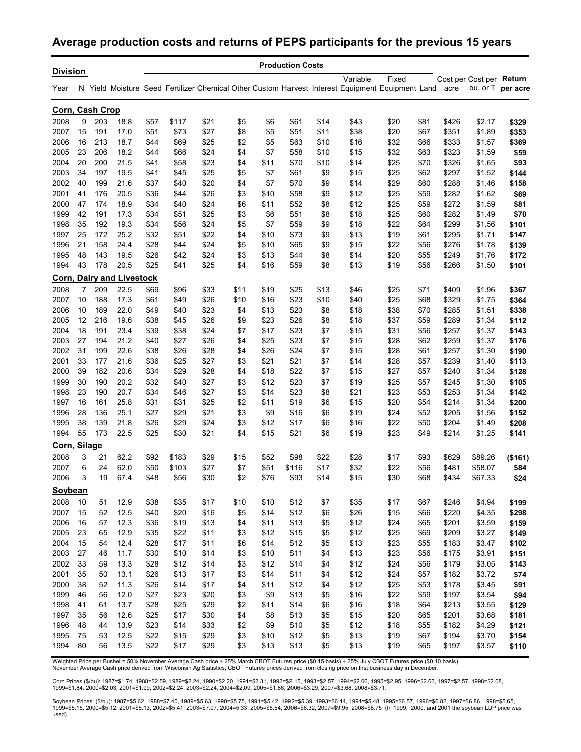#### **Average production costs and returns of PEPS participants for the previous 15 years**

|                         |          |            |                                          |              |              |              |            |              | <b>Production Costs</b> |            |              |                                                                                                                |              |                |                                      |                |
|-------------------------|----------|------------|------------------------------------------|--------------|--------------|--------------|------------|--------------|-------------------------|------------|--------------|----------------------------------------------------------------------------------------------------------------|--------------|----------------|--------------------------------------|----------------|
| <b>Division</b><br>Year |          |            |                                          |              |              |              |            |              |                         |            | Variable     | Fixed<br>N Yield Moisture Seed Fertilizer Chemical Other Custom Harvest Interest Equipment Equipment Land acre |              |                | Cost per Cost per Return<br>bu. or T | per acre       |
|                         |          |            |                                          |              |              |              |            |              |                         |            |              |                                                                                                                |              |                |                                      |                |
| Corn, Cash Crop         |          |            |                                          |              |              |              |            |              |                         |            |              |                                                                                                                |              |                |                                      |                |
| 2008                    | 9        | 203        | 18.8                                     | \$57         | \$117        | \$21         | \$5        | \$6          | \$61                    | \$14       | \$43         | \$20                                                                                                           | \$81         | \$426          | \$2.17                               | \$329          |
| 2007                    | 15       | 191        | 17.0                                     | \$51         | \$73         | \$27         | \$8        | \$5          | \$51                    | \$11       | \$38         | \$20                                                                                                           | \$67         | \$351          | \$1.89                               | \$353          |
| 2006                    | 16       | 213        | 18.7                                     | \$44         | \$69         | \$25         | \$2        | \$5          | \$63                    | \$10       | \$16         | \$32                                                                                                           | \$66         | \$333          | \$1.57                               | \$369          |
| 2005                    | 23       | 206        | 18.2                                     | \$44         | \$66         | \$24         | \$4        | \$7          | \$58                    | \$10       | \$15         | \$32                                                                                                           | \$63         | \$323          | \$1.59                               | \$59           |
| 2004                    | 20       | 200        | 21.5                                     | \$41         | \$58         | \$23         | \$4        | \$11         | \$70                    | \$10       | \$14         | \$25                                                                                                           | \$70         | \$326          | \$1.65                               | \$93           |
| 2003                    | 34       | 197        | 19.5                                     | \$41         | \$45         | \$25         | \$5        | \$7          | \$61                    | \$9        | \$15         | \$25                                                                                                           | \$62         | \$297          | \$1.52                               | \$144          |
| 2002                    | 40       | 199        | 21.6                                     | \$37         | \$40         | \$20         | \$4        | \$7          | \$70                    | \$9        | \$14         | \$29                                                                                                           | \$60         | \$288          | \$1.46                               | \$158          |
| 2001                    | 41       | 176<br>174 | 20.5                                     | \$36         | \$44         | \$26         | \$3        | \$10         | \$58                    | \$9        | \$12         | \$25                                                                                                           | \$59         | \$282          | \$1.62                               | \$69           |
| 2000<br>1999            | 47<br>42 | 191        | 18.9                                     | \$34         | \$40         | \$24         | \$6        | \$11         | \$52                    | \$8        | \$12         | \$25                                                                                                           | \$59         | \$272          | \$1.59                               | \$81           |
| 1998                    | 35       | 192        | 17.3<br>19.3                             | \$34<br>\$34 | \$51<br>\$56 | \$25<br>\$24 | \$3<br>\$5 | \$6<br>\$7   | \$51<br>\$59            | \$8<br>\$9 | \$18<br>\$18 | \$25<br>\$22                                                                                                   | \$60<br>\$64 | \$282<br>\$299 | \$1.49<br>\$1.56                     | \$70           |
| 1997                    | 25       | 172        | 25.2                                     | \$32         | \$51         | \$22         | \$4        | \$10         | \$73                    | \$9        | \$13         | \$19                                                                                                           | \$61         | \$295          | \$1.71                               | \$101          |
| 1996                    | 21       | 158        | 24.4                                     | \$28         | \$44         | \$24         | \$5        | \$10         | \$65                    | \$9        | \$15         | \$22                                                                                                           | \$56         | \$276          | \$1.78                               | \$147<br>\$139 |
| 1995                    | 48       | 143        |                                          |              |              |              |            |              |                         |            |              |                                                                                                                |              |                |                                      |                |
| 1994                    | 43       | 178        | 19.5                                     | \$26         | \$42         | \$24         | \$3<br>\$4 | \$13         | \$44                    | \$8<br>\$8 | \$14         | \$20                                                                                                           | \$55         | \$249          | \$1.76                               | \$172          |
|                         |          |            | 20.5<br><b>Corn, Dairy and Livestock</b> | \$25         | \$41         | \$25         |            | \$16         | \$59                    |            | \$13         | \$19                                                                                                           | \$56         | \$266          | \$1.50                               | \$101          |
|                         | 7        |            |                                          |              |              |              |            |              |                         |            |              |                                                                                                                |              |                |                                      |                |
| 2008                    | 10       | 209<br>188 | 22.5<br>17.3                             | \$69         | \$96         | \$33         | \$11       | \$19         | \$25                    | \$13       | \$46         | \$25                                                                                                           | \$71         | \$409          | \$1.96                               | \$367          |
| 2007                    |          | 189        | 22.0                                     | \$61         | \$49         | \$26         | \$10       | \$16         | \$23                    | \$10       | \$40         | \$25                                                                                                           | \$68         | \$329          | \$1.75                               | \$364          |
| 2006                    | 10       | 216        |                                          | \$49         | \$40         | \$23         | \$4        | \$13         | \$23                    | \$8        | \$18         | \$38                                                                                                           | \$70         | \$285          | \$1.51                               | \$338          |
| 2005<br>2004            | 12<br>18 | 191        | 19.6<br>23.4                             | \$38<br>\$39 | \$45<br>\$38 | \$26<br>\$24 | \$9<br>\$7 | \$23<br>\$17 | \$26<br>\$23            | \$8<br>\$7 | \$18<br>\$15 | \$37<br>\$31                                                                                                   | \$59<br>\$56 | \$289<br>\$257 | \$1.34<br>\$1.37                     | \$112          |
| 2003                    | 27       | 194        | 21.2                                     | \$40         | \$27         | \$26         | \$4        | \$25         | \$23                    | \$7        |              | \$28                                                                                                           | \$62         | \$259          | \$1.37                               | \$143          |
| 2002                    | 31       | 199        | 22.6                                     | \$38         | \$26         | \$28         | \$4        | \$26         | \$24                    | \$7        | \$15<br>\$15 | \$28                                                                                                           | \$61         | \$257          | \$1.30                               | \$176          |
| 2001                    | 33       | 177        | 21.6                                     | \$36         | \$25         | \$27         | \$3        | \$21         | \$21                    | \$7        | \$14         | \$28                                                                                                           | \$57         | \$239          | \$1.40                               | \$190<br>\$113 |
| 2000                    | 39       | 182        | 20.6                                     | \$34         | \$29         | \$28         | \$4        | \$18         | \$22                    |            | \$15         | \$27                                                                                                           | \$57         | \$240          | \$1.34                               | \$128          |
| 1999                    | 30       | 190        | 20.2                                     | \$32         | \$40         |              | \$3        | \$12         | \$23                    | \$7<br>\$7 |              | \$25                                                                                                           | \$57         | \$245          | \$1.30                               |                |
| 1998                    | 23       | 190        | 20.7                                     | \$34         | \$46         | \$27<br>\$27 | \$3        | \$14         | \$23                    | \$8        | \$19<br>\$21 | \$23                                                                                                           | \$53         | \$253          | \$1.34                               | \$105<br>\$142 |
| 1997                    | 16       | 161        | 25.8                                     | \$31         | \$31         | \$25         | \$2        | \$11         | \$19                    | \$6        | \$15         | \$20                                                                                                           | \$54         | \$214          | \$1.34                               | \$200          |
| 1996                    | 28       | 136        | 25.1                                     | \$27         | \$29         | \$21         | \$3        | \$9          | \$16                    | \$6        | \$19         | \$24                                                                                                           | \$52         | \$205          | \$1.56                               | \$152          |
| 1995                    | 38       | 139        | 21.8                                     | \$26         | \$29         | \$24         | \$3        | \$12         | \$17                    | \$6        | \$16         | \$22                                                                                                           | \$50         |                | \$1.49                               |                |
| 1994                    | 55       | 173        | 22.5                                     | \$25         | \$30         |              | \$4        | \$15         | \$21                    | \$6        | \$19         | \$23                                                                                                           | \$49         | \$204<br>\$214 | \$1.25                               | \$208          |
|                         |          |            |                                          |              |              | \$21         |            |              |                         |            |              |                                                                                                                |              |                |                                      | \$141          |
| Corn, Silage            |          |            |                                          |              |              |              |            |              |                         |            |              |                                                                                                                |              |                |                                      |                |
| 2008                    | 3        | 21         | 62.2                                     | \$92         | \$183        | \$29         | \$15       | \$52         | \$98                    | \$22       | \$28         | \$17                                                                                                           | \$93         | \$629          | \$89.26                              | (\$161)        |
| 2007                    | 6        | 24         | 62.0                                     | \$50         | \$103        | \$27         | \$7        | \$51         | \$116                   | \$17       | \$32         | \$22                                                                                                           | \$56         | \$481          | \$58.07                              | \$84           |
| 2006<br>Soybean         | 3        | 19         | 67.4                                     | \$48         | \$56         | \$30         | \$2        | \$76         | \$93                    | \$14       | \$15         | \$30                                                                                                           | \$68         | \$434          | \$67.33                              | \$24           |
| 2008                    | 10       | 51         | 12.9                                     | \$38         | \$35         | \$17         | \$10       | \$10         | \$12                    | \$7        | \$35         | \$17                                                                                                           | \$67         | \$246          | \$4.94                               | \$199          |
|                         | 15       | 52         | 12.5                                     | \$40         | \$20         | \$16         | \$5        | \$14         | \$12                    |            | \$26         | \$15                                                                                                           | \$66         | \$220          | \$4.35                               | \$298          |
| 2007<br>2006            | 16       | 57         | 12.3                                     | \$36         | \$19         | \$13         | \$4        | \$11         | \$13                    | \$6<br>\$5 | \$12         | \$24                                                                                                           | \$65         | \$201          | \$3.59                               | \$159          |
| 2005                    | 23       | 65         | 12.9                                     | \$35         | \$22         | \$11         | \$3        | \$12         | \$15                    | \$5        | \$12         | \$25                                                                                                           | \$69         | \$209          | \$3.27                               | \$149          |
| 2004                    | 15       | 54         | 12.4                                     | \$28         |              |              |            | \$14         | \$12                    |            | \$13         | \$23                                                                                                           |              |                |                                      | \$102          |
|                         | 27       |            |                                          |              | \$17         | \$11         | \$6        | \$10         |                         | \$5        |              |                                                                                                                | \$55         | \$183          | \$3.47                               |                |
| 2003<br>2002            | 33       | 46         | 11.7                                     | \$30<br>\$28 | \$10<br>\$12 | \$14         | \$3<br>\$3 | \$12         | \$11                    | \$4<br>\$4 | \$13<br>\$12 | \$23<br>\$24                                                                                                   | \$56         | \$175          | \$3.91<br>\$3.05                     | \$151          |
| 2001                    | 35       | 59         | 13.3                                     |              |              | \$14         |            | \$14         | \$14                    |            |              |                                                                                                                | \$56         | \$179          | \$3.72                               | \$143          |
|                         |          | 50         | 13.1                                     | \$26         | \$13         | \$17         | \$3        |              | \$11                    | \$4        | \$12         | \$24                                                                                                           | \$57         | \$182          |                                      | \$74           |
| 2000                    | 38       | 52         | 11.3                                     | \$26         | \$14         | \$17         | \$4        | \$11         | \$12                    | \$4        | \$12         | \$25                                                                                                           | \$53         | \$178          | \$3.45                               | \$91           |
| 1999                    | 46<br>41 | 56         | 12.0<br>13.7                             | \$27         | \$23         | \$20         | \$3        | \$9          | \$13                    | \$5        | \$16         | \$22                                                                                                           | \$59         | \$197          | \$3.54                               | \$94           |
| 1998<br>1997            | 35       | 61         | 12.6                                     | \$28<br>\$25 | \$25<br>\$17 | \$29         | \$2<br>\$4 | \$11<br>\$8  | \$14<br>\$13            | \$6<br>\$5 | \$16         | \$18<br>\$20                                                                                                   | \$64<br>\$65 | \$213          | \$3.55                               | \$129          |
|                         |          | 56         |                                          |              |              | \$30         |            |              |                         |            | \$15         |                                                                                                                |              | \$201          | \$3.68                               | \$181          |
| 1996                    | 48       | 44         | 13.9                                     | \$23         | \$14         | \$33         | \$2        | \$9          | \$10                    | \$5        | \$12         | \$18                                                                                                           | \$55         | \$182          | \$4.29                               | \$121          |
| 1995<br>1994            | 75<br>80 | 53<br>56   | 12.5<br>13.5                             | \$22         | \$15<br>\$17 | \$29<br>\$29 | \$3<br>\$3 | \$10         | \$12<br>\$13            | \$5        | \$13         | \$19                                                                                                           | \$67         | \$194          | \$3.70                               | \$154          |
|                         |          |            |                                          | \$22         |              |              |            | \$13         |                         | \$5        | \$13         | \$19                                                                                                           | \$65         | \$197          | \$3.57                               | \$110          |

Weighted Price per Bushel = 50% November Average Cash price + 25% March CBOT Futures price (\$0.15 basis) + 25% July CBOT Futures price (\$0.10 basis)<br>November Average Cash price derived from Wisconsin Ag Statistics; CBOT Fu

Corn Prices (\$/bu): 1987=\$1.74, 1988=\$2.59, 1989=\$2.24, 1990=\$2.20, 1991=\$2.31, 1992=\$2.15, 1993=\$2.57, 1994=\$2.06, 1995=\$2.95, 1996=\$2.63, 1997=\$2.57, 1998=\$2.08,<br>1999=\$1.84, 2000=\$2.03, 2001=\$1.99, 2002=\$2.24, 2003=\$2.2

Soybean Prices(\$/bu): 1987=\$5.62, 1988=\$7.40, 1989=\$5.63, 1990=\$5.75, 1991=\$5.42, 1992=\$5.39, 1993=\$6.44, 1994=\$5.48, 1995=\$6.57, 1996=\$6.82, 1997=\$6.86, 1998=\$5.65,<br>1999=\$5.15, 2000=\$5.12, 2001=\$5.13, 2002=\$5.41, 2003=\$7. used).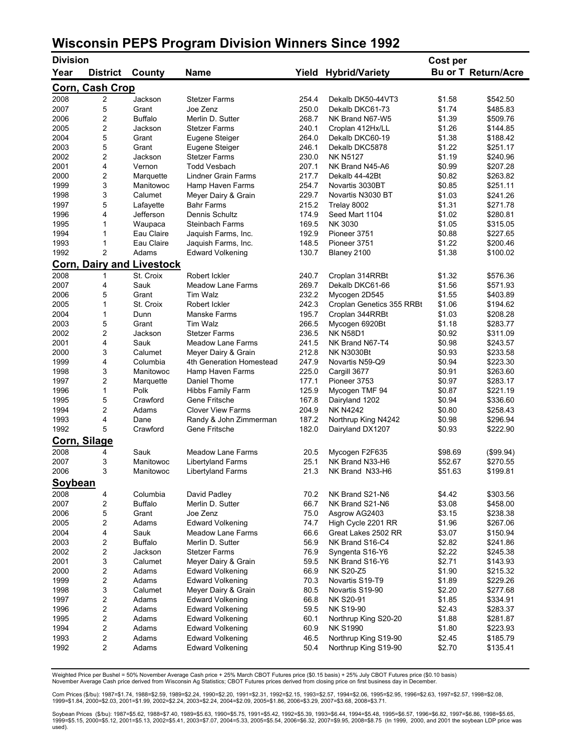### **Wisconsin PEPS Program Division Winners Since 1992**

| <b>Division</b>     |                        |                                               |                                                    |              |                                     | Cost per         |                            |
|---------------------|------------------------|-----------------------------------------------|----------------------------------------------------|--------------|-------------------------------------|------------------|----------------------------|
| Year                | <b>District</b>        | County                                        | <b>Name</b>                                        | Yield        | <b>Hybrid/Variety</b>               |                  | <b>Bu or T Return/Acre</b> |
|                     | <b>Corn, Cash Crop</b> |                                               |                                                    |              |                                     |                  |                            |
| 2008                | 2                      | Jackson                                       | <b>Stetzer Farms</b>                               | 254.4        | Dekalb DK50-44VT3                   | \$1.58           | \$542.50                   |
| 2007                | 5                      | Grant                                         | Joe Zenz                                           | 250.0        | Dekalb DKC61-73                     | \$1.74           | \$485.83                   |
| 2006                | 2                      | <b>Buffalo</b>                                | Merlin D. Sutter                                   | 268.7        | NK Brand N67-W5                     | \$1.39           | \$509.76                   |
| 2005                | 2                      | Jackson                                       | <b>Stetzer Farms</b>                               | 240.1        | Croplan 412Hx/LL                    | \$1.26           | \$144.85                   |
| 2004                | 5                      | Grant                                         | Eugene Steiger                                     | 264.0        | Dekalb DKC60-19                     | \$1.38           | \$188.42                   |
| 2003                | 5                      | Grant                                         | Eugene Steiger                                     | 246.1        | Dekalb DKC5878                      | \$1.22           | \$251.17                   |
| 2002                | 2                      | Jackson                                       | <b>Stetzer Farms</b>                               | 230.0        | <b>NK N5127</b>                     | \$1.19           | \$240.96                   |
| 2001                | 4                      | Vernon                                        | <b>Todd Vesbach</b>                                | 207.1        | NK Brand N45-A6                     | \$0.99           | \$207.28                   |
| 2000                | 2                      | Marquette                                     | Lindner Grain Farms                                | 217.7        | Dekalb 44-42Bt                      | \$0.82           | \$263.82                   |
| 1999                | 3                      | Manitowoc                                     | Hamp Haven Farms                                   | 254.7        | Novartis 3030BT                     | \$0.85           | \$251.11                   |
| 1998                | 3                      | Calumet                                       | Meyer Dairy & Grain                                | 229.7        | Novartis N3030 BT                   | \$1.03           | \$241.26                   |
| 1997                | 5                      | Lafayette                                     | <b>Bahr Farms</b>                                  | 215.2        | Trelay 8002                         | \$1.31           | \$271.78                   |
| 1996                | 4                      | Jefferson                                     | Dennis Schultz                                     | 174.9        | Seed Mart 1104                      | \$1.02           | \$280.81                   |
| 1995                | 1                      | Waupaca                                       | <b>Steinbach Farms</b>                             | 169.5        | NK 3030                             | \$1.05           | \$315.05                   |
| 1994                | 1                      | Eau Claire                                    | Jaquish Farms, Inc.                                | 192.9        | Pioneer 3751                        | \$0.88           | \$227.65                   |
| 1993                | 1                      | Eau Claire                                    | Jaquish Farms, Inc.                                | 148.5        | Pioneer 3751                        | \$1.22           | \$200.46                   |
| 1992                | 2                      | Adams                                         | <b>Edward Volkening</b>                            | 130.7        | Blaney 2100                         | \$1.38           | \$100.02                   |
| 2008                | 1                      | <b>Corn, Dairy and Livestock</b><br>St. Croix | Robert Ickler                                      | 240.7        | Croplan 314RRBt                     | \$1.32           | \$576.36                   |
| 2007                | 4                      | Sauk                                          | <b>Meadow Lane Farms</b>                           | 269.7        | Dekalb DKC61-66                     | \$1.56           | \$571.93                   |
| 2006                | 5                      | Grant                                         | <b>Tim Walz</b>                                    | 232.2        | Mycogen 2D545                       | \$1.55           | \$403.89                   |
| 2005                | 1                      | St. Croix                                     | Robert Ickler                                      | 242.3        | Croplan Genetics 355 RRBt           | \$1.06           | \$194.62                   |
| 2004                | 1                      | Dunn                                          | Manske Farms                                       | 195.7        | Croplan 344RRBt                     | \$1.03           | \$208.28                   |
| 2003                | 5                      | Grant                                         | <b>Tim Walz</b>                                    | 266.5        | Mycogen 6920Bt                      | \$1.18           | \$283.77                   |
| 2002                | 2                      | Jackson                                       | <b>Stetzer Farms</b>                               | 236.5        | <b>NK N58D1</b>                     | \$0.92           | \$311.09                   |
| 2001                | 4                      | Sauk                                          | <b>Meadow Lane Farms</b>                           | 241.5        | NK Brand N67-T4                     | \$0.98           | \$243.57                   |
| 2000                | 3                      | Calumet                                       | Meyer Dairy & Grain                                | 212.8        | <b>NK N3030Bt</b>                   | \$0.93           | \$233.58                   |
| 1999                | 4                      | Columbia                                      | 4th Generation Homestead                           | 247.9        | Novartis N59-Q9                     | \$0.94           | \$223.30                   |
| 1998                | 3                      | Manitowoc                                     | Hamp Haven Farms                                   | 225.0        | Cargill 3677                        | \$0.91           | \$263.60                   |
| 1997                | 2                      | Marquette                                     | Daniel Thome                                       | 177.1        | Pioneer 3753                        | \$0.97           | \$283.17                   |
| 1996                | 1                      | Polk                                          | Hibbs Family Farm                                  | 125.9        | Mycogen TMF 94                      | \$0.87           | \$221.19                   |
| 1995                | 5                      | Crawford                                      | Gene Fritsche                                      | 167.8        | Dairyland 1202                      | \$0.94           | \$336.60                   |
| 1994                | 2                      | Adams                                         | <b>Clover View Farms</b>                           | 204.9        | <b>NK N4242</b>                     | \$0.80           | \$258.43                   |
| 1993                | 4                      | Dane                                          | Randy & John Zimmerman                             | 187.2        | Northrup King N4242                 | \$0.98           | \$296.94                   |
| 1992                | 5                      | Crawford                                      | Gene Fritsche                                      | 182.0        | Dairyland DX1207                    | \$0.93           | \$222.90                   |
| <b>Corn, Silage</b> |                        |                                               |                                                    |              |                                     |                  |                            |
| 2008                | 4                      | Sauk                                          | <b>Meadow Lane Farms</b>                           | 20.5         | Mycogen F2F635                      | \$98.69          | (\$99.94)                  |
| 2007                | 3                      | Manitowoc                                     | Libertyland Farms                                  | 25.1         | NK Brand N33-H6                     | \$52.67          | \$270.55                   |
| 2006                | 3                      | Manitowoc                                     | <b>Libertyland Farms</b>                           | 21.3         | NK Brand N33-H6                     | \$51.63          | \$199.81                   |
| <u>Soybean</u>      |                        |                                               |                                                    |              |                                     |                  |                            |
| 2008                | 4                      | Columbia                                      | David Padley                                       | 70.2         | NK Brand S21-N6                     | \$4.42           | \$303.56                   |
| 2007                | 2                      | <b>Buffalo</b>                                | Merlin D. Sutter                                   | 66.7         | NK Brand S21-N6                     | \$3.08           | \$458.00                   |
| 2006                | 5                      | Grant                                         | Joe Zenz                                           | 75.0         | Asgrow AG2403                       | \$3.15           | \$238.38                   |
| 2005                | 2                      | Adams                                         | <b>Edward Volkening</b>                            | 74.7         | High Cycle 2201 RR                  | \$1.96           | \$267.06                   |
| 2004                | 4                      | Sauk                                          | <b>Meadow Lane Farms</b>                           | 66.6         | Great Lakes 2502 RR                 | \$3.07           | \$150.94                   |
| 2003                | 2                      | <b>Buffalo</b>                                | Merlin D. Sutter                                   | 56.9         | NK Brand S16-C4                     | \$2.82           | \$241.86                   |
| 2002                | 2                      | Jackson                                       | <b>Stetzer Farms</b>                               | 76.9         | Syngenta S16-Y6                     | \$2.22           | \$245.38                   |
| 2001                | 3                      | Calumet                                       | Meyer Dairy & Grain                                | 59.5         | NK Brand S16-Y6                     | \$2.71           | \$143.93                   |
| 2000                | 2                      | Adams                                         | <b>Edward Volkening</b>                            | 66.9         | <b>NK S20-Z5</b>                    | \$1.90           | \$215.32                   |
| 1999                | 2                      | Adams<br>Calumet                              | <b>Edward Volkening</b>                            | 70.3         | Novartis S19-T9                     | \$1.89           | \$229.26                   |
| 1998<br>1997        | 3<br>2                 | Adams                                         | Meyer Dairy & Grain                                | 80.5<br>66.8 | Novartis S19-90<br><b>NK S20-91</b> | \$2.20<br>\$1.85 | \$277.68<br>\$334.91       |
| 1996                | 2                      | Adams                                         | <b>Edward Volkening</b><br><b>Edward Volkening</b> | 59.5         | <b>NK S19-90</b>                    | \$2.43           | \$283.37                   |
| 1995                | 2                      | Adams                                         | <b>Edward Volkening</b>                            | 60.1         | Northrup King S20-20                | \$1.88           | \$281.87                   |
| 1994                | 2                      | Adams                                         | <b>Edward Volkening</b>                            | 60.9         | <b>NK S1990</b>                     | \$1.80           | \$223.93                   |
| 1993                | 2                      | Adams                                         | <b>Edward Volkening</b>                            | 46.5         | Northrup King S19-90                | \$2.45           | \$185.79                   |
| 1992                | 2                      | Adams                                         | <b>Edward Volkening</b>                            | 50.4         | Northrup King S19-90                | \$2.70           | \$135.41                   |
|                     |                        |                                               |                                                    |              |                                     |                  |                            |

Weighted Price per Bushel = 50% November Average Cash price + 25% March CBOT Futures price (\$0.15 basis) + 25% July CBOT Futures price (\$0.10 basis) November Average Cash price derived from Wisconsin Ag Statistics; CBOT Futures prices derived from closing price on first business day in December.

Com Prices (\$/bu): 1987=\$1.74, 1988=\$2.59, 1989=\$2.24, 1990=\$2.20, 1991=\$2.31, 1992=\$2.15, 1993=\$2.57, 1994=\$2.06, 1995=\$2.95, 1996=\$2.63, 1997=\$2.57, 1998=\$2.08,<br>1999=\$1.84, 2000=\$2.03, 2001=\$1.99, 2002=\$2.24, 2003=\$2.24,

Soybean Prices(\$/bu): 1987=\$5.62, 1988=\$7.40, 1989=\$5.63, 1990=\$5.75, 1991=\$5.42, 1992=\$5.39, 1993=\$6.44, 1994=\$5.48, 1995=\$6.57, 1996=\$6.82, 1997=\$6.86, 1998=\$5.65,<br>1999=\$5.15, 2000=\$5.12, 2001=\$5.13, 2002=\$5.41, 2003=\$7. used).